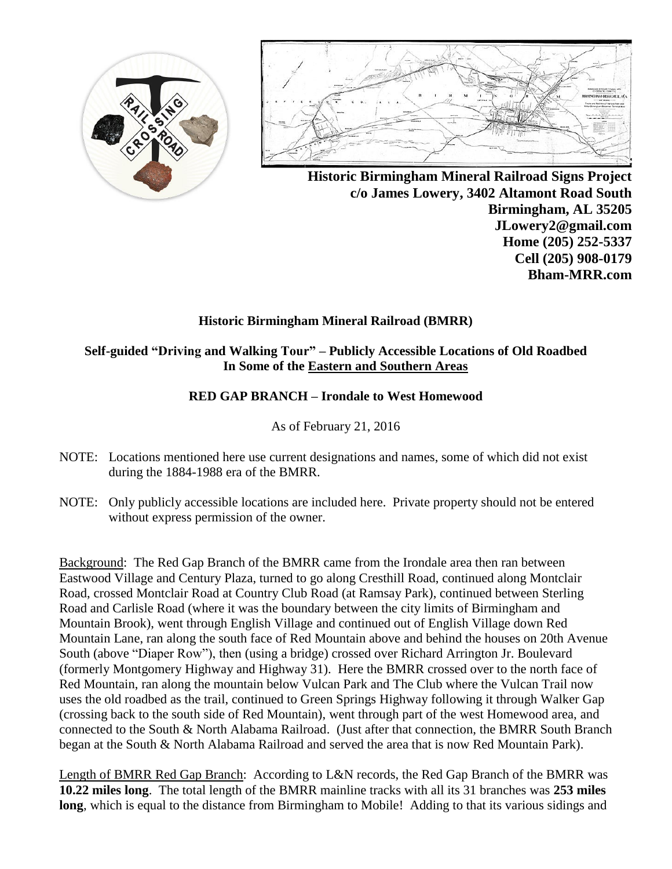



**Historic Birmingham Mineral Railroad Signs Project c/o James Lowery, 3402 Altamont Road South Birmingham, AL 35205 JLowery2@gmail.com Home (205) 252-5337 Cell (205) 908-0179 Bham-MRR.com**

# **Historic Birmingham Mineral Railroad (BMRR)**

## **Self-guided "Driving and Walking Tour" – Publicly Accessible Locations of Old Roadbed In Some of the Eastern and Southern Areas**

## **RED GAP BRANCH – Irondale to West Homewood**

## As of February 21, 2016

- NOTE: Locations mentioned here use current designations and names, some of which did not exist during the 1884-1988 era of the BMRR.
- NOTE: Only publicly accessible locations are included here. Private property should not be entered without express permission of the owner.

Background: The Red Gap Branch of the BMRR came from the Irondale area then ran between Eastwood Village and Century Plaza, turned to go along Cresthill Road, continued along Montclair Road, crossed Montclair Road at Country Club Road (at Ramsay Park), continued between Sterling Road and Carlisle Road (where it was the boundary between the city limits of Birmingham and Mountain Brook), went through English Village and continued out of English Village down Red Mountain Lane, ran along the south face of Red Mountain above and behind the houses on 20th Avenue South (above "Diaper Row"), then (using a bridge) crossed over Richard Arrington Jr. Boulevard (formerly Montgomery Highway and Highway 31). Here the BMRR crossed over to the north face of Red Mountain, ran along the mountain below Vulcan Park and The Club where the Vulcan Trail now uses the old roadbed as the trail, continued to Green Springs Highway following it through Walker Gap (crossing back to the south side of Red Mountain), went through part of the west Homewood area, and connected to the South & North Alabama Railroad. (Just after that connection, the BMRR South Branch began at the South & North Alabama Railroad and served the area that is now Red Mountain Park).

Length of BMRR Red Gap Branch: According to L&N records, the Red Gap Branch of the BMRR was **10.22 miles long**. The total length of the BMRR mainline tracks with all its 31 branches was **253 miles long**, which is equal to the distance from Birmingham to Mobile! Adding to that its various sidings and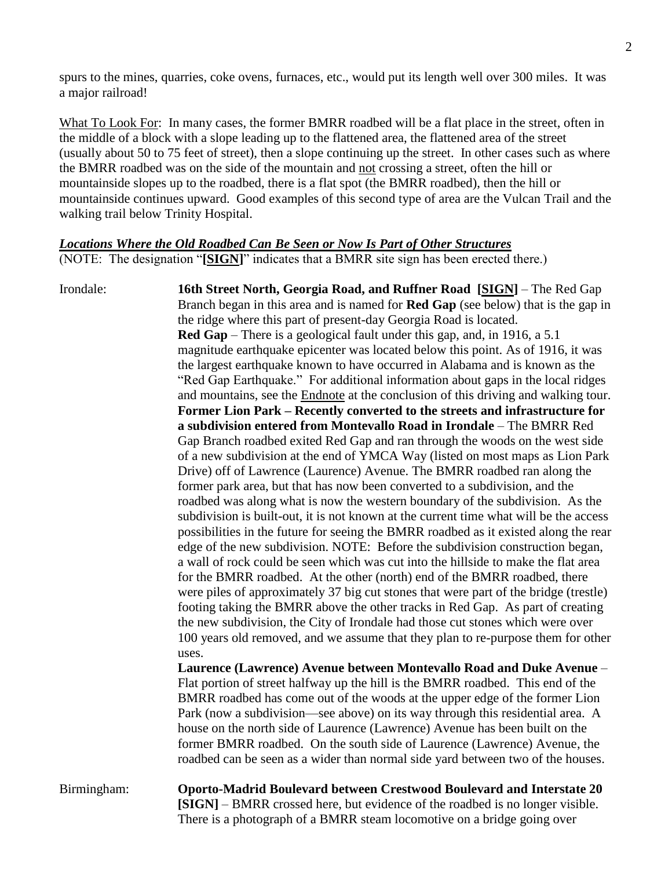spurs to the mines, quarries, coke ovens, furnaces, etc., would put its length well over 300 miles. It was a major railroad!

What To Look For: In many cases, the former BMRR roadbed will be a flat place in the street, often in the middle of a block with a slope leading up to the flattened area, the flattened area of the street (usually about 50 to 75 feet of street), then a slope continuing up the street. In other cases such as where the BMRR roadbed was on the side of the mountain and not crossing a street, often the hill or mountainside slopes up to the roadbed, there is a flat spot (the BMRR roadbed), then the hill or mountainside continues upward. Good examples of this second type of area are the Vulcan Trail and the walking trail below Trinity Hospital.

### *Locations Where the Old Roadbed Can Be Seen or Now Is Part of Other Structures*

(NOTE: The designation "**[SIGN]**" indicates that a BMRR site sign has been erected there.)

Irondale: **16th Street North, Georgia Road, and Ruffner Road [SIGN]** – The Red Gap Branch began in this area and is named for **Red Gap** (see below) that is the gap in the ridge where this part of present-day Georgia Road is located. **Red Gap** – There is a geological fault under this gap, and, in 1916, a 5.1 magnitude earthquake epicenter was located below this point. As of 1916, it was the largest earthquake known to have occurred in Alabama and is known as the "Red Gap Earthquake." For additional information about gaps in the local ridges and mountains, see the Endnote at the conclusion of this driving and walking tour. **Former Lion Park – Recently converted to the streets and infrastructure for a subdivision entered from Montevallo Road in Irondale** – The BMRR Red Gap Branch roadbed exited Red Gap and ran through the woods on the west side of a new subdivision at the end of YMCA Way (listed on most maps as Lion Park Drive) off of Lawrence (Laurence) Avenue. The BMRR roadbed ran along the former park area, but that has now been converted to a subdivision, and the roadbed was along what is now the western boundary of the subdivision. As the subdivision is built-out, it is not known at the current time what will be the access possibilities in the future for seeing the BMRR roadbed as it existed along the rear edge of the new subdivision. NOTE: Before the subdivision construction began, a wall of rock could be seen which was cut into the hillside to make the flat area for the BMRR roadbed. At the other (north) end of the BMRR roadbed, there were piles of approximately 37 big cut stones that were part of the bridge (trestle) footing taking the BMRR above the other tracks in Red Gap. As part of creating the new subdivision, the City of Irondale had those cut stones which were over 100 years old removed, and we assume that they plan to re-purpose them for other uses.

> **Laurence (Lawrence) Avenue between Montevallo Road and Duke Avenue** – Flat portion of street halfway up the hill is the BMRR roadbed. This end of the BMRR roadbed has come out of the woods at the upper edge of the former Lion Park (now a subdivision—see above) on its way through this residential area. A house on the north side of Laurence (Lawrence) Avenue has been built on the former BMRR roadbed. On the south side of Laurence (Lawrence) Avenue, the roadbed can be seen as a wider than normal side yard between two of the houses.

Birmingham: **Oporto-Madrid Boulevard between Crestwood Boulevard and Interstate 20 [SIGN]** – BMRR crossed here, but evidence of the roadbed is no longer visible. There is a photograph of a BMRR steam locomotive on a bridge going over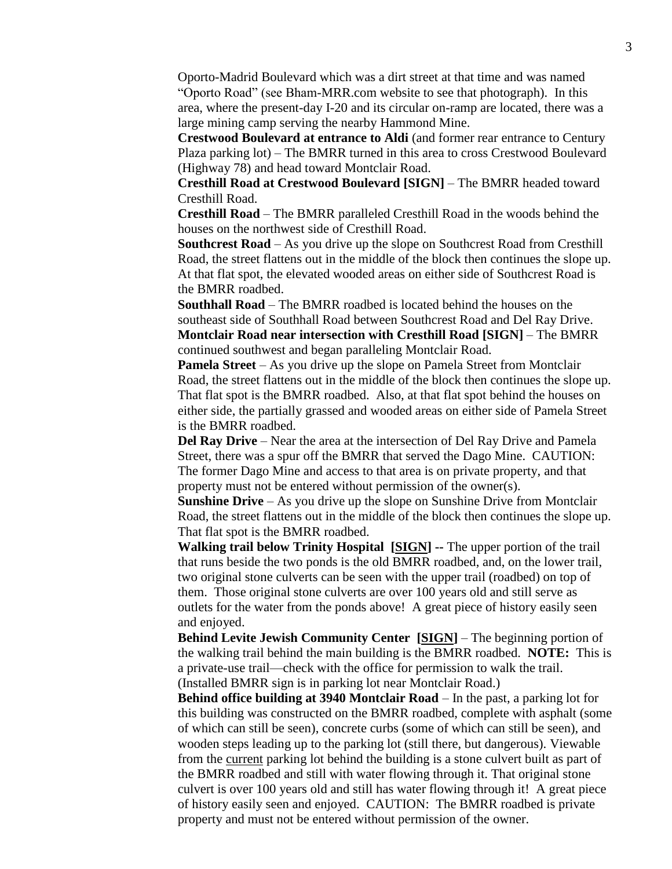Oporto-Madrid Boulevard which was a dirt street at that time and was named "Oporto Road" (see Bham-MRR.com website to see that photograph). In this area, where the present-day I-20 and its circular on-ramp are located, there was a large mining camp serving the nearby Hammond Mine.

**Crestwood Boulevard at entrance to Aldi** (and former rear entrance to Century Plaza parking lot) – The BMRR turned in this area to cross Crestwood Boulevard (Highway 78) and head toward Montclair Road.

**Cresthill Road at Crestwood Boulevard [SIGN]** – The BMRR headed toward Cresthill Road.

**Cresthill Road** – The BMRR paralleled Cresthill Road in the woods behind the houses on the northwest side of Cresthill Road.

**Southcrest Road** – As you drive up the slope on Southcrest Road from Cresthill Road, the street flattens out in the middle of the block then continues the slope up. At that flat spot, the elevated wooded areas on either side of Southcrest Road is the BMRR roadbed.

**Southhall Road** – The BMRR roadbed is located behind the houses on the southeast side of Southhall Road between Southcrest Road and Del Ray Drive. **Montclair Road near intersection with Cresthill Road [SIGN]** – The BMRR continued southwest and began paralleling Montclair Road.

**Pamela Street** – As you drive up the slope on Pamela Street from Montclair Road, the street flattens out in the middle of the block then continues the slope up. That flat spot is the BMRR roadbed. Also, at that flat spot behind the houses on either side, the partially grassed and wooded areas on either side of Pamela Street is the BMRR roadbed.

**Del Ray Drive** – Near the area at the intersection of Del Ray Drive and Pamela Street, there was a spur off the BMRR that served the Dago Mine. CAUTION: The former Dago Mine and access to that area is on private property, and that property must not be entered without permission of the owner(s).

**Sunshine Drive** – As you drive up the slope on Sunshine Drive from Montclair Road, the street flattens out in the middle of the block then continues the slope up. That flat spot is the BMRR roadbed.

**Walking trail below Trinity Hospital [SIGN] --** The upper portion of the trail that runs beside the two ponds is the old BMRR roadbed, and, on the lower trail, two original stone culverts can be seen with the upper trail (roadbed) on top of them. Those original stone culverts are over 100 years old and still serve as outlets for the water from the ponds above! A great piece of history easily seen and enjoyed.

**Behind Levite Jewish Community Center [SIGN]** – The beginning portion of the walking trail behind the main building is the BMRR roadbed. **NOTE:** This is a private-use trail—check with the office for permission to walk the trail. (Installed BMRR sign is in parking lot near Montclair Road.)

**Behind office building at 3940 Montclair Road** – In the past, a parking lot for this building was constructed on the BMRR roadbed, complete with asphalt (some of which can still be seen), concrete curbs (some of which can still be seen), and wooden steps leading up to the parking lot (still there, but dangerous). Viewable from the current parking lot behind the building is a stone culvert built as part of the BMRR roadbed and still with water flowing through it. That original stone culvert is over 100 years old and still has water flowing through it! A great piece of history easily seen and enjoyed. CAUTION: The BMRR roadbed is private property and must not be entered without permission of the owner.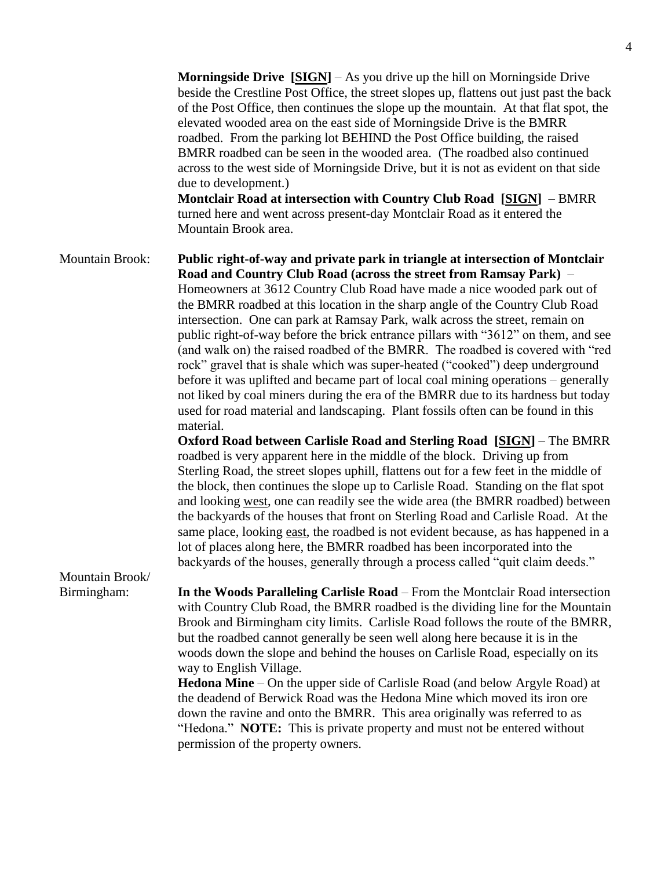**Morningside Drive [SIGN]** – As you drive up the hill on Morningside Drive beside the Crestline Post Office, the street slopes up, flattens out just past the back of the Post Office, then continues the slope up the mountain. At that flat spot, the elevated wooded area on the east side of Morningside Drive is the BMRR roadbed. From the parking lot BEHIND the Post Office building, the raised BMRR roadbed can be seen in the wooded area. (The roadbed also continued across to the west side of Morningside Drive, but it is not as evident on that side due to development.)

**Montclair Road at intersection with Country Club Road [SIGN]** – BMRR turned here and went across present-day Montclair Road as it entered the Mountain Brook area.

Mountain Brook: **Public right-of-way and private park in triangle at intersection of Montclair Road and Country Club Road (across the street from Ramsay Park)** – Homeowners at 3612 Country Club Road have made a nice wooded park out of the BMRR roadbed at this location in the sharp angle of the Country Club Road intersection. One can park at Ramsay Park, walk across the street, remain on public right-of-way before the brick entrance pillars with "3612" on them, and see (and walk on) the raised roadbed of the BMRR. The roadbed is covered with "red rock" gravel that is shale which was super-heated ("cooked") deep underground before it was uplifted and became part of local coal mining operations – generally not liked by coal miners during the era of the BMRR due to its hardness but today used for road material and landscaping. Plant fossils often can be found in this material.

**Oxford Road between Carlisle Road and Sterling Road [SIGN]** – The BMRR roadbed is very apparent here in the middle of the block. Driving up from Sterling Road, the street slopes uphill, flattens out for a few feet in the middle of the block, then continues the slope up to Carlisle Road. Standing on the flat spot and looking west, one can readily see the wide area (the BMRR roadbed) between the backyards of the houses that front on Sterling Road and Carlisle Road. At the same place, looking east, the roadbed is not evident because, as has happened in a lot of places along here, the BMRR roadbed has been incorporated into the backyards of the houses, generally through a process called "quit claim deeds."

Mountain Brook/

Birmingham: **In the Woods Paralleling Carlisle Road** – From the Montclair Road intersection with Country Club Road, the BMRR roadbed is the dividing line for the Mountain Brook and Birmingham city limits. Carlisle Road follows the route of the BMRR, but the roadbed cannot generally be seen well along here because it is in the woods down the slope and behind the houses on Carlisle Road, especially on its way to English Village.

> **Hedona Mine** – On the upper side of Carlisle Road (and below Argyle Road) at the deadend of Berwick Road was the Hedona Mine which moved its iron ore down the ravine and onto the BMRR. This area originally was referred to as "Hedona." **NOTE:** This is private property and must not be entered without permission of the property owners.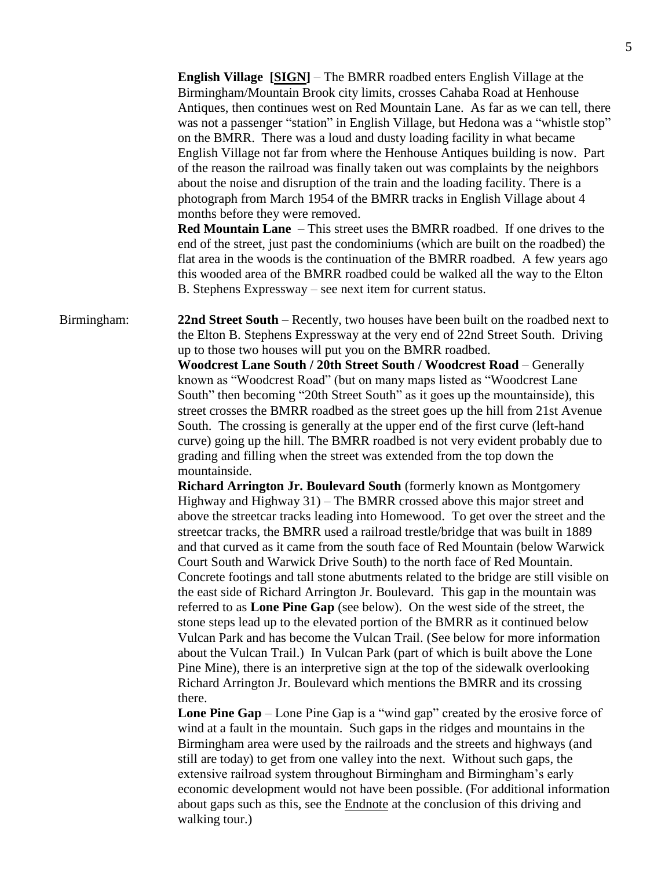**English Village [SIGN]** – The BMRR roadbed enters English Village at the Birmingham/Mountain Brook city limits, crosses Cahaba Road at Henhouse Antiques, then continues west on Red Mountain Lane. As far as we can tell, there was not a passenger "station" in English Village, but Hedona was a "whistle stop" on the BMRR. There was a loud and dusty loading facility in what became English Village not far from where the Henhouse Antiques building is now. Part of the reason the railroad was finally taken out was complaints by the neighbors about the noise and disruption of the train and the loading facility. There is a photograph from March 1954 of the BMRR tracks in English Village about 4 months before they were removed.

**Red Mountain Lane** – This street uses the BMRR roadbed. If one drives to the end of the street, just past the condominiums (which are built on the roadbed) the flat area in the woods is the continuation of the BMRR roadbed. A few years ago this wooded area of the BMRR roadbed could be walked all the way to the Elton B. Stephens Expressway – see next item for current status.

Birmingham: **22nd Street South** – Recently, two houses have been built on the roadbed next to the Elton B. Stephens Expressway at the very end of 22nd Street South. Driving up to those two houses will put you on the BMRR roadbed.

> **Woodcrest Lane South / 20th Street South / Woodcrest Road** – Generally known as "Woodcrest Road" (but on many maps listed as "Woodcrest Lane South" then becoming "20th Street South" as it goes up the mountainside), this street crosses the BMRR roadbed as the street goes up the hill from 21st Avenue South. The crossing is generally at the upper end of the first curve (left-hand curve) going up the hill. The BMRR roadbed is not very evident probably due to grading and filling when the street was extended from the top down the mountainside.

**Richard Arrington Jr. Boulevard South** (formerly known as Montgomery Highway and Highway 31) – The BMRR crossed above this major street and above the streetcar tracks leading into Homewood. To get over the street and the streetcar tracks, the BMRR used a railroad trestle/bridge that was built in 1889 and that curved as it came from the south face of Red Mountain (below Warwick Court South and Warwick Drive South) to the north face of Red Mountain. Concrete footings and tall stone abutments related to the bridge are still visible on the east side of Richard Arrington Jr. Boulevard. This gap in the mountain was referred to as **Lone Pine Gap** (see below). On the west side of the street, the stone steps lead up to the elevated portion of the BMRR as it continued below Vulcan Park and has become the Vulcan Trail. (See below for more information about the Vulcan Trail.) In Vulcan Park (part of which is built above the Lone Pine Mine), there is an interpretive sign at the top of the sidewalk overlooking Richard Arrington Jr. Boulevard which mentions the BMRR and its crossing there.

**Lone Pine Gap** – Lone Pine Gap is a "wind gap" created by the erosive force of wind at a fault in the mountain. Such gaps in the ridges and mountains in the Birmingham area were used by the railroads and the streets and highways (and still are today) to get from one valley into the next. Without such gaps, the extensive railroad system throughout Birmingham and Birmingham's early economic development would not have been possible. (For additional information about gaps such as this, see the Endnote at the conclusion of this driving and walking tour.)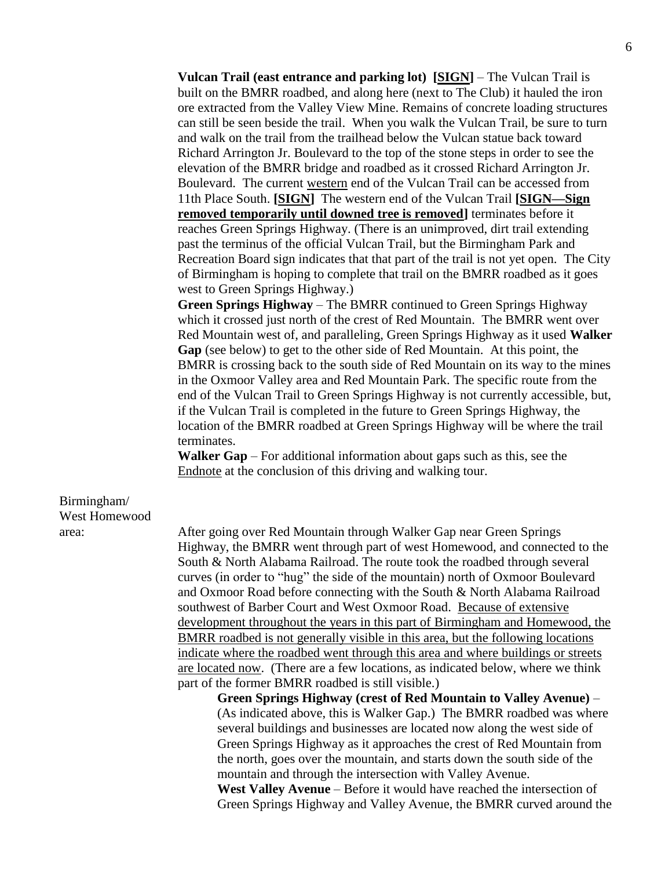**Vulcan Trail (east entrance and parking lot) [SIGN]** – The Vulcan Trail is built on the BMRR roadbed, and along here (next to The Club) it hauled the iron ore extracted from the Valley View Mine. Remains of concrete loading structures can still be seen beside the trail. When you walk the Vulcan Trail, be sure to turn and walk on the trail from the trailhead below the Vulcan statue back toward Richard Arrington Jr. Boulevard to the top of the stone steps in order to see the elevation of the BMRR bridge and roadbed as it crossed Richard Arrington Jr. Boulevard. The current western end of the Vulcan Trail can be accessed from 11th Place South. **[SIGN]** The western end of the Vulcan Trail **[SIGN—Sign removed temporarily until downed tree is removed]** terminates before it reaches Green Springs Highway. (There is an unimproved, dirt trail extending past the terminus of the official Vulcan Trail, but the Birmingham Park and Recreation Board sign indicates that that part of the trail is not yet open. The City of Birmingham is hoping to complete that trail on the BMRR roadbed as it goes west to Green Springs Highway.)

**Green Springs Highway** – The BMRR continued to Green Springs Highway which it crossed just north of the crest of Red Mountain. The BMRR went over Red Mountain west of, and paralleling, Green Springs Highway as it used **Walker Gap** (see below) to get to the other side of Red Mountain. At this point, the BMRR is crossing back to the south side of Red Mountain on its way to the mines in the Oxmoor Valley area and Red Mountain Park. The specific route from the end of the Vulcan Trail to Green Springs Highway is not currently accessible, but, if the Vulcan Trail is completed in the future to Green Springs Highway, the location of the BMRR roadbed at Green Springs Highway will be where the trail terminates.

**Walker Gap** – For additional information about gaps such as this, see the Endnote at the conclusion of this driving and walking tour.

# Birmingham/ West Homewood

area: After going over Red Mountain through Walker Gap near Green Springs Highway, the BMRR went through part of west Homewood, and connected to the South & North Alabama Railroad. The route took the roadbed through several curves (in order to "hug" the side of the mountain) north of Oxmoor Boulevard and Oxmoor Road before connecting with the South & North Alabama Railroad southwest of Barber Court and West Oxmoor Road. Because of extensive development throughout the years in this part of Birmingham and Homewood, the BMRR roadbed is not generally visible in this area, but the following locations indicate where the roadbed went through this area and where buildings or streets are located now. (There are a few locations, as indicated below, where we think part of the former BMRR roadbed is still visible.)

> **Green Springs Highway (crest of Red Mountain to Valley Avenue)** – (As indicated above, this is Walker Gap.) The BMRR roadbed was where several buildings and businesses are located now along the west side of Green Springs Highway as it approaches the crest of Red Mountain from the north, goes over the mountain, and starts down the south side of the mountain and through the intersection with Valley Avenue.

> **West Valley Avenue** – Before it would have reached the intersection of Green Springs Highway and Valley Avenue, the BMRR curved around the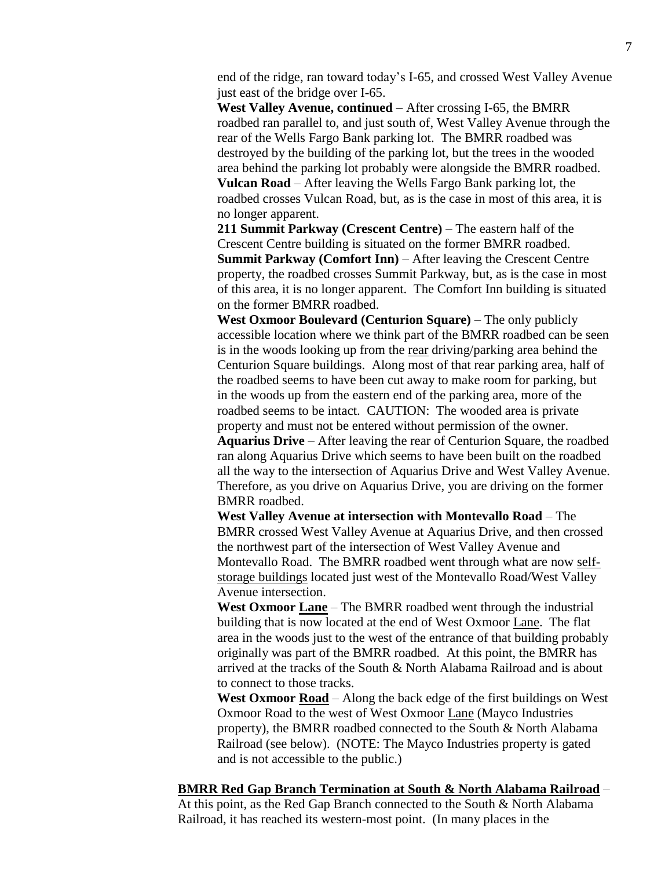end of the ridge, ran toward today's I-65, and crossed West Valley Avenue just east of the bridge over I-65.

**West Valley Avenue, continued** – After crossing I-65, the BMRR roadbed ran parallel to, and just south of, West Valley Avenue through the rear of the Wells Fargo Bank parking lot. The BMRR roadbed was destroyed by the building of the parking lot, but the trees in the wooded area behind the parking lot probably were alongside the BMRR roadbed. **Vulcan Road** – After leaving the Wells Fargo Bank parking lot, the roadbed crosses Vulcan Road, but, as is the case in most of this area, it is no longer apparent.

**211 Summit Parkway (Crescent Centre)** – The eastern half of the Crescent Centre building is situated on the former BMRR roadbed. **Summit Parkway (Comfort Inn)** – After leaving the Crescent Centre property, the roadbed crosses Summit Parkway, but, as is the case in most of this area, it is no longer apparent. The Comfort Inn building is situated on the former BMRR roadbed.

**West Oxmoor Boulevard (Centurion Square)** – The only publicly accessible location where we think part of the BMRR roadbed can be seen is in the woods looking up from the rear driving/parking area behind the Centurion Square buildings. Along most of that rear parking area, half of the roadbed seems to have been cut away to make room for parking, but in the woods up from the eastern end of the parking area, more of the roadbed seems to be intact. CAUTION: The wooded area is private property and must not be entered without permission of the owner.

**Aquarius Drive** – After leaving the rear of Centurion Square, the roadbed ran along Aquarius Drive which seems to have been built on the roadbed all the way to the intersection of Aquarius Drive and West Valley Avenue. Therefore, as you drive on Aquarius Drive, you are driving on the former BMRR roadbed.

**West Valley Avenue at intersection with Montevallo Road** – The BMRR crossed West Valley Avenue at Aquarius Drive, and then crossed the northwest part of the intersection of West Valley Avenue and Montevallo Road. The BMRR roadbed went through what are now selfstorage buildings located just west of the Montevallo Road/West Valley Avenue intersection.

**West Oxmoor Lane** – The BMRR roadbed went through the industrial building that is now located at the end of West Oxmoor Lane. The flat area in the woods just to the west of the entrance of that building probably originally was part of the BMRR roadbed. At this point, the BMRR has arrived at the tracks of the South & North Alabama Railroad and is about to connect to those tracks.

West Oxmoor **Road** – Along the back edge of the first buildings on West Oxmoor Road to the west of West Oxmoor Lane (Mayco Industries property), the BMRR roadbed connected to the South & North Alabama Railroad (see below). (NOTE: The Mayco Industries property is gated and is not accessible to the public.)

**BMRR Red Gap Branch Termination at South & North Alabama Railroad** –

At this point, as the Red Gap Branch connected to the South & North Alabama Railroad, it has reached its western-most point. (In many places in the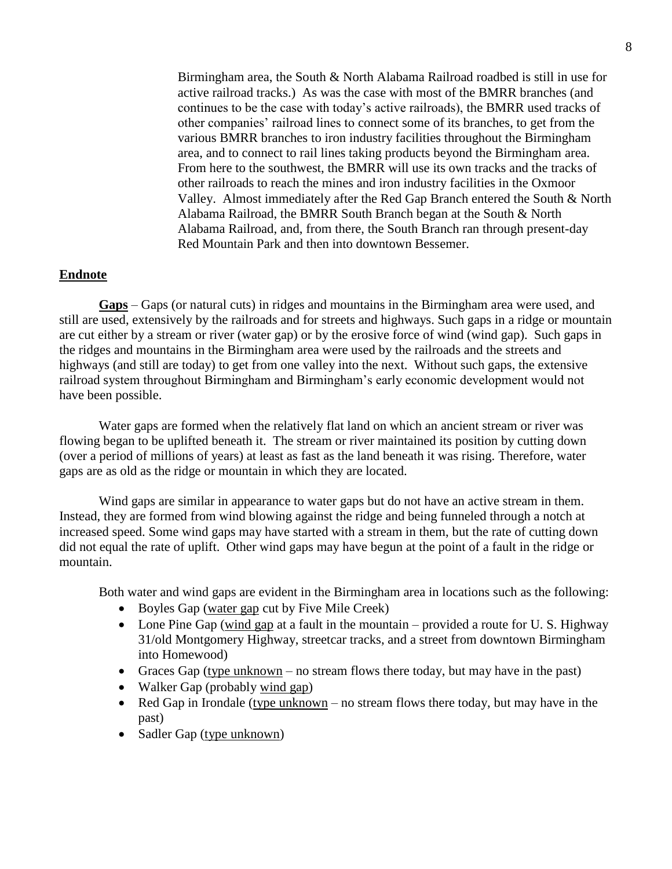Birmingham area, the South & North Alabama Railroad roadbed is still in use for active railroad tracks.) As was the case with most of the BMRR branches (and continues to be the case with today's active railroads), the BMRR used tracks of other companies' railroad lines to connect some of its branches, to get from the various BMRR branches to iron industry facilities throughout the Birmingham area, and to connect to rail lines taking products beyond the Birmingham area. From here to the southwest, the BMRR will use its own tracks and the tracks of other railroads to reach the mines and iron industry facilities in the Oxmoor Valley. Almost immediately after the Red Gap Branch entered the South & North Alabama Railroad, the BMRR South Branch began at the South & North Alabama Railroad, and, from there, the South Branch ran through present-day Red Mountain Park and then into downtown Bessemer.

## **Endnote**

**Gaps** – Gaps (or natural cuts) in ridges and mountains in the Birmingham area were used, and still are used, extensively by the railroads and for streets and highways. Such gaps in a ridge or mountain are cut either by a stream or river (water gap) or by the erosive force of wind (wind gap). Such gaps in the ridges and mountains in the Birmingham area were used by the railroads and the streets and highways (and still are today) to get from one valley into the next. Without such gaps, the extensive railroad system throughout Birmingham and Birmingham's early economic development would not have been possible.

Water gaps are formed when the relatively flat land on which an ancient stream or river was flowing began to be uplifted beneath it. The stream or river maintained its position by cutting down (over a period of millions of years) at least as fast as the land beneath it was rising. Therefore, water gaps are as old as the ridge or mountain in which they are located.

Wind gaps are similar in appearance to water gaps but do not have an active stream in them. Instead, they are formed from wind blowing against the ridge and being funneled through a notch at increased speed. Some wind gaps may have started with a stream in them, but the rate of cutting down did not equal the rate of uplift. Other wind gaps may have begun at the point of a fault in the ridge or mountain.

Both water and wind gaps are evident in the Birmingham area in locations such as the following:

- Boyles Gap (water gap cut by Five Mile Creek)
- Lone Pine Gap (wind gap at a fault in the mountain provided a route for U.S. Highway 31/old Montgomery Highway, streetcar tracks, and a street from downtown Birmingham into Homewood)
- Graces Gap (type unknown no stream flows there today, but may have in the past)
- Walker Gap (probably wind gap)
- Red Gap in Irondale (type unknown no stream flows there today, but may have in the past)
- Sadler Gap (type unknown)